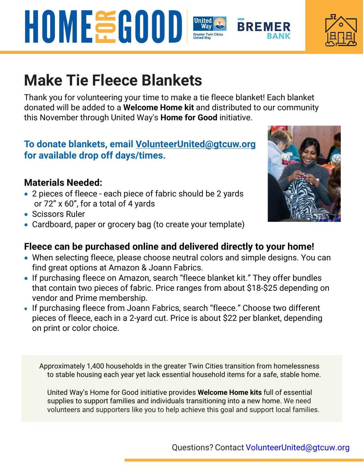# **Make Tie Fleece Blankets**

Thank you for volunteering your time to make a tie fleece blanket! Each blanket donated will be added to a **Welcome Home kit** and distributed to our community this November through United Way's **Home for Good** initiative.

## **To donate blankets, email VolunteerUnited@gtcuw.org for available drop off days/times.**

## **Materials Needed:**

- 2 pieces of fleece each piece of fabric should be 2 yards or 72" x 60", for a total of 4 yards
- Scissors Ruler
- Cardboard, paper or grocery bag (to create your template)

#### **Fleece can be purchased online and delivered directly to your home!**

- When selecting fleece, please choose neutral colors and simple designs. You can find great options at Amazon & Joann Fabrics.
- If purchasing fleece on Amazon, search "fleece blanket kit." They offer bundles that contain two pieces of fabric. Price ranges from about \$18-\$25 depending on vendor and Prime membership.
- If purchasing fleece from Joann Fabrics, search "fleece." Choose two different pieces of fleece, each in a 2-yard cut. Price is about \$22 per blanket, depending on print or color choice.

Approximately 1,400 households in the greater Twin Cities transition from homelessness to stable housing each year yet lack essential household items for a safe, stable home.

United Way's Home for Good initiative provides **Welcome Home kits** full of essential supplies to support families and individuals transitioning into a new home. We need volunteers and supporters like you to help achieve this goal and support local families.